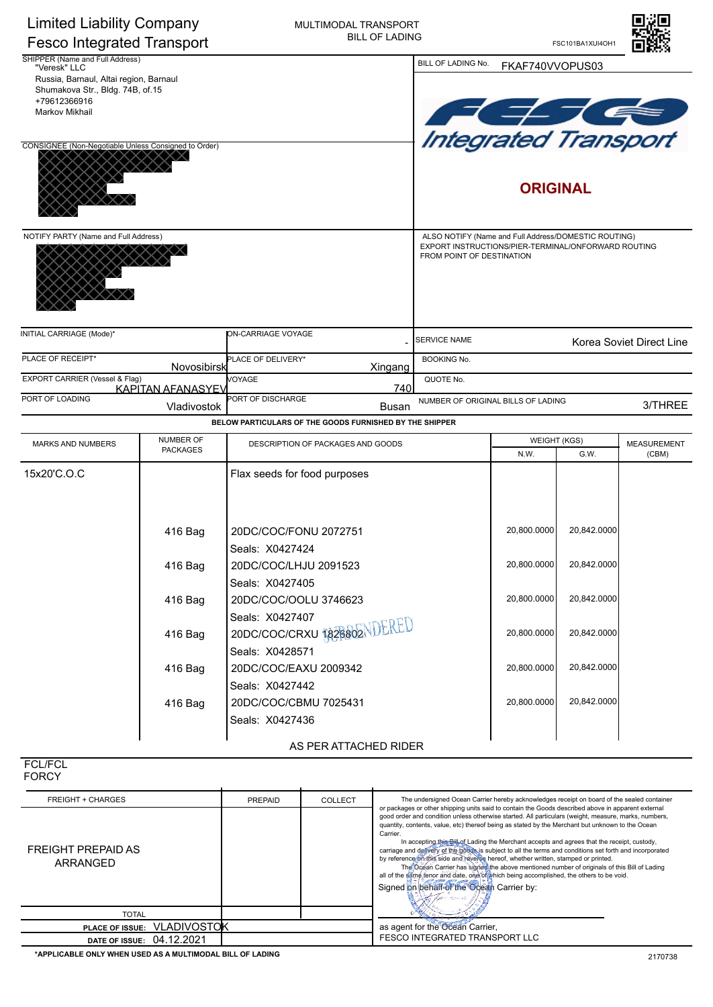

| SHIPPER (Name and Full Address)<br>"Veresk" LLC      | BILL OF LADING No.<br>FKAF740VVOPUS03 |                                                         |                                                                                  |                                                      |                 |                          |  |
|------------------------------------------------------|---------------------------------------|---------------------------------------------------------|----------------------------------------------------------------------------------|------------------------------------------------------|-----------------|--------------------------|--|
| Russia, Barnaul, Altai region, Barnaul               |                                       |                                                         |                                                                                  |                                                      |                 |                          |  |
| Shumakova Str., Bldg. 74B, of.15                     |                                       |                                                         |                                                                                  |                                                      |                 |                          |  |
| +79612366916                                         |                                       |                                                         |                                                                                  |                                                      |                 |                          |  |
| Markov Mikhail                                       |                                       |                                                         |                                                                                  |                                                      |                 |                          |  |
|                                                      |                                       |                                                         |                                                                                  | <b>Integrated Transport</b>                          |                 |                          |  |
| CONSIGNEE (Non-Negotiable Unless Consigned to Order) |                                       |                                                         |                                                                                  |                                                      |                 |                          |  |
|                                                      |                                       |                                                         |                                                                                  |                                                      |                 |                          |  |
|                                                      |                                       |                                                         |                                                                                  |                                                      |                 |                          |  |
|                                                      |                                       |                                                         |                                                                                  |                                                      | <b>ORIGINAL</b> |                          |  |
|                                                      |                                       |                                                         |                                                                                  |                                                      |                 |                          |  |
|                                                      |                                       |                                                         |                                                                                  |                                                      |                 |                          |  |
| NOTIFY PARTY (Name and Full Address)                 |                                       |                                                         |                                                                                  | ALSO NOTIFY (Name and Full Address/DOMESTIC ROUTING) |                 |                          |  |
|                                                      |                                       |                                                         | EXPORT INSTRUCTIONS/PIER-TERMINAL/ONFORWARD ROUTING<br>FROM POINT OF DESTINATION |                                                      |                 |                          |  |
|                                                      |                                       |                                                         |                                                                                  |                                                      |                 |                          |  |
|                                                      |                                       |                                                         |                                                                                  |                                                      |                 |                          |  |
|                                                      |                                       |                                                         |                                                                                  |                                                      |                 |                          |  |
|                                                      |                                       |                                                         |                                                                                  |                                                      |                 |                          |  |
| INITIAL CARRIAGE (Mode)*                             |                                       | ON-CARRIAGE VOYAGE                                      | <b>SERVICE NAME</b>                                                              |                                                      |                 |                          |  |
|                                                      |                                       |                                                         |                                                                                  |                                                      |                 | Korea Soviet Direct Line |  |
| PLACE OF RECEIPT*                                    | Novosibirsk                           | PLACE OF DELIVERY*<br>Xingang                           | <b>BOOKING No.</b>                                                               |                                                      |                 |                          |  |
| EXPORT CARRIER (Vessel & Flag)                       | <b>KAPITAN AFANASYEV</b>              | VOYAGE<br>740                                           | QUOTE No.                                                                        |                                                      |                 |                          |  |
| PORT OF LOADING                                      | Vladivostok                           | PORT OF DISCHARGE<br>Busan                              | NUMBER OF ORIGINAL BILLS OF LADING<br>3/THREE                                    |                                                      |                 |                          |  |
|                                                      |                                       | BELOW PARTICULARS OF THE GOODS FURNISHED BY THE SHIPPER |                                                                                  |                                                      |                 |                          |  |
| <b>MARKS AND NUMBERS</b>                             | NUMBER OF                             | DESCRIPTION OF PACKAGES AND GOODS                       |                                                                                  | <b>WEIGHT (KGS)</b>                                  |                 | <b>MEASUREMENT</b>       |  |
|                                                      | <b>PACKAGES</b>                       |                                                         |                                                                                  | N.W.                                                 | G.W.            | (CBM)                    |  |
| 15x20'C.O.C                                          |                                       | Flax seeds for food purposes                            |                                                                                  |                                                      |                 |                          |  |
|                                                      |                                       |                                                         |                                                                                  |                                                      |                 |                          |  |
|                                                      |                                       |                                                         |                                                                                  |                                                      |                 |                          |  |
|                                                      |                                       |                                                         |                                                                                  |                                                      |                 |                          |  |
|                                                      | 416 Bag                               | 20DC/COC/FONU 2072751                                   |                                                                                  | 20,800.0000                                          | 20,842.0000     |                          |  |
|                                                      |                                       | Seals: X0427424                                         |                                                                                  |                                                      |                 |                          |  |
|                                                      | 416 Bag                               | 20DC/COC/LHJU 2091523                                   | 20.800.0000                                                                      | 20,842.0000                                          |                 |                          |  |
|                                                      |                                       | Seals: X0427405                                         |                                                                                  |                                                      |                 |                          |  |
|                                                      | 416 Bag                               | 20DC/COC/OOLU 3746623                                   |                                                                                  | 20,800.0000                                          | 20,842.0000     |                          |  |
|                                                      |                                       | Seals: X0427407                                         |                                                                                  |                                                      |                 |                          |  |
|                                                      |                                       | 20DC/COC/CRXU 1826802NDERED                             |                                                                                  | 20,800.0000                                          | 20,842.0000     |                          |  |
|                                                      | 416 Bag                               |                                                         |                                                                                  |                                                      |                 |                          |  |
|                                                      |                                       | Seals: X0428571                                         |                                                                                  |                                                      |                 |                          |  |
|                                                      | 416 Bag                               | 20DC/COC/EAXU 2009342                                   |                                                                                  | 20,800.0000                                          | 20,842.0000     |                          |  |
|                                                      |                                       | Seals: X0427442                                         |                                                                                  |                                                      |                 |                          |  |
|                                                      | 416 Bag                               | 20DC/COC/CBMU 7025431                                   |                                                                                  | 20,800.0000                                          | 20,842.0000     |                          |  |
|                                                      |                                       | Seals: X0427436                                         |                                                                                  |                                                      |                 |                          |  |
|                                                      |                                       |                                                         |                                                                                  |                                                      |                 |                          |  |
|                                                      |                                       | AS PER ATTACHED RIDER                                   |                                                                                  |                                                      |                 |                          |  |

FCL/FCL FORCY

| <b>FREIGHT + CHARGES</b>       | PREPAID | <b>COLLECT</b> | The undersigned Ocean Carrier hereby acknowledges receipt on board of the sealed container                                                                                                                                                                                                                                                                                                                                                                                                                                                                                                                                                                                                                                                                                                                                                                         |  |  |
|--------------------------------|---------|----------------|--------------------------------------------------------------------------------------------------------------------------------------------------------------------------------------------------------------------------------------------------------------------------------------------------------------------------------------------------------------------------------------------------------------------------------------------------------------------------------------------------------------------------------------------------------------------------------------------------------------------------------------------------------------------------------------------------------------------------------------------------------------------------------------------------------------------------------------------------------------------|--|--|
| FREIGHT PREPAID AS<br>ARRANGED |         |                | or packages or other shipping units said to contain the Goods described above in apparent external<br>good order and condition unless otherwise started. All particulars (weight, measure, marks, numbers,<br>quantity, contents, value, etc) thereof being as stated by the Merchant but unknown to the Ocean<br>Carrier.<br>In accepting this Bill of Lading the Merchant accepts and agrees that the receipt, custody,<br>carriage and delivery of the goods is subject to all the terms and conditions set forth and incorporated<br>by reference on this side and reverse hereof, whether written, stamped or printed.<br>The Ocean Carrier has signed the above mentioned number of originals of this Bill of Lading<br>all of the same tenor and date, one of which being accomplished, the others to be void.<br>Signed on behalf of the Ocean Carrier by: |  |  |
| <b>TOTAL</b>                   |         |                |                                                                                                                                                                                                                                                                                                                                                                                                                                                                                                                                                                                                                                                                                                                                                                                                                                                                    |  |  |
| PLACE OF ISSUE: VLADIVOSTOK    |         |                | as agent for the Ocean Carrier,<br><b>FESCO INTEGRATED TRANSPORT LLC</b>                                                                                                                                                                                                                                                                                                                                                                                                                                                                                                                                                                                                                                                                                                                                                                                           |  |  |
| 04.12.2021<br>DATE OF ISSUE:   |         |                |                                                                                                                                                                                                                                                                                                                                                                                                                                                                                                                                                                                                                                                                                                                                                                                                                                                                    |  |  |

**\*APPLICABLE ONLY WHEN USED AS A MULTIMODAL BILL OF LADING**